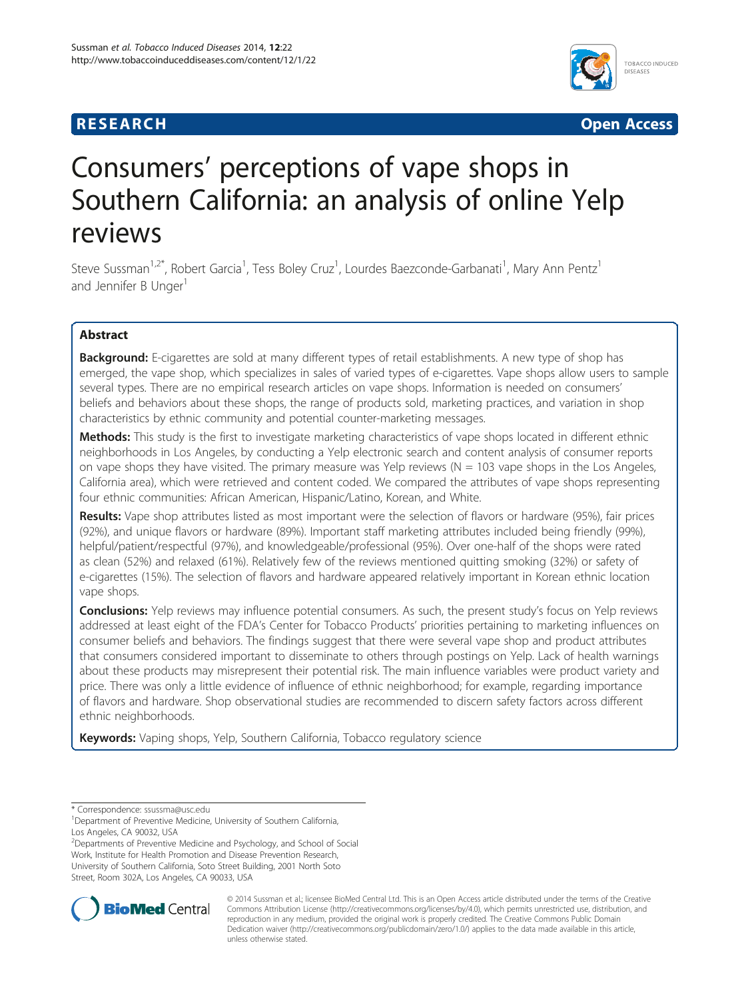# **RESEARCH CHE CHE Open Access**



# Consumers' perceptions of vape shops in Southern California: an analysis of online Yelp reviews

Steve Sussman<sup>1,2\*</sup>, Robert Garcia<sup>1</sup>, Tess Boley Cruz<sup>1</sup>, Lourdes Baezconde-Garbanati<sup>1</sup>, Mary Ann Pentz<sup>1</sup> and Jennifer B Unger<sup>1</sup>

# Abstract

**Background:** E-cigarettes are sold at many different types of retail establishments. A new type of shop has emerged, the vape shop, which specializes in sales of varied types of e-cigarettes. Vape shops allow users to sample several types. There are no empirical research articles on vape shops. Information is needed on consumers' beliefs and behaviors about these shops, the range of products sold, marketing practices, and variation in shop characteristics by ethnic community and potential counter-marketing messages.

Methods: This study is the first to investigate marketing characteristics of vape shops located in different ethnic neighborhoods in Los Angeles, by conducting a Yelp electronic search and content analysis of consumer reports on vape shops they have visited. The primary measure was Yelp reviews ( $N = 103$  vape shops in the Los Angeles, California area), which were retrieved and content coded. We compared the attributes of vape shops representing four ethnic communities: African American, Hispanic/Latino, Korean, and White.

Results: Vape shop attributes listed as most important were the selection of flavors or hardware (95%), fair prices (92%), and unique flavors or hardware (89%). Important staff marketing attributes included being friendly (99%), helpful/patient/respectful (97%), and knowledgeable/professional (95%). Over one-half of the shops were rated as clean (52%) and relaxed (61%). Relatively few of the reviews mentioned quitting smoking (32%) or safety of e-cigarettes (15%). The selection of flavors and hardware appeared relatively important in Korean ethnic location vape shops.

**Conclusions:** Yelp reviews may influence potential consumers. As such, the present study's focus on Yelp reviews addressed at least eight of the FDA's Center for Tobacco Products' priorities pertaining to marketing influences on consumer beliefs and behaviors. The findings suggest that there were several vape shop and product attributes that consumers considered important to disseminate to others through postings on Yelp. Lack of health warnings about these products may misrepresent their potential risk. The main influence variables were product variety and price. There was only a little evidence of influence of ethnic neighborhood; for example, regarding importance of flavors and hardware. Shop observational studies are recommended to discern safety factors across different ethnic neighborhoods.

Keywords: Vaping shops, Yelp, Southern California, Tobacco regulatory science

\* Correspondence: [ssussma@usc.edu](mailto:ssussma@usc.edu) <sup>1</sup>

<sup>2</sup>Departments of Preventive Medicine and Psychology, and School of Social Work, Institute for Health Promotion and Disease Prevention Research, University of Southern California, Soto Street Building, 2001 North Soto Street, Room 302A, Los Angeles, CA 90033, USA



© 2014 Sussman et al.; licensee BioMed Central Ltd. This is an Open Access article distributed under the terms of the Creative Commons Attribution License [\(http://creativecommons.org/licenses/by/4.0\)](http://creativecommons.org/licenses/by/4.0), which permits unrestricted use, distribution, and reproduction in any medium, provided the original work is properly credited. The Creative Commons Public Domain Dedication waiver [\(http://creativecommons.org/publicdomain/zero/1.0/](http://creativecommons.org/publicdomain/zero/1.0/)) applies to the data made available in this article, unless otherwise stated.

<sup>&</sup>lt;sup>1</sup>Department of Preventive Medicine, University of Southern California, Los Angeles, CA 90032, USA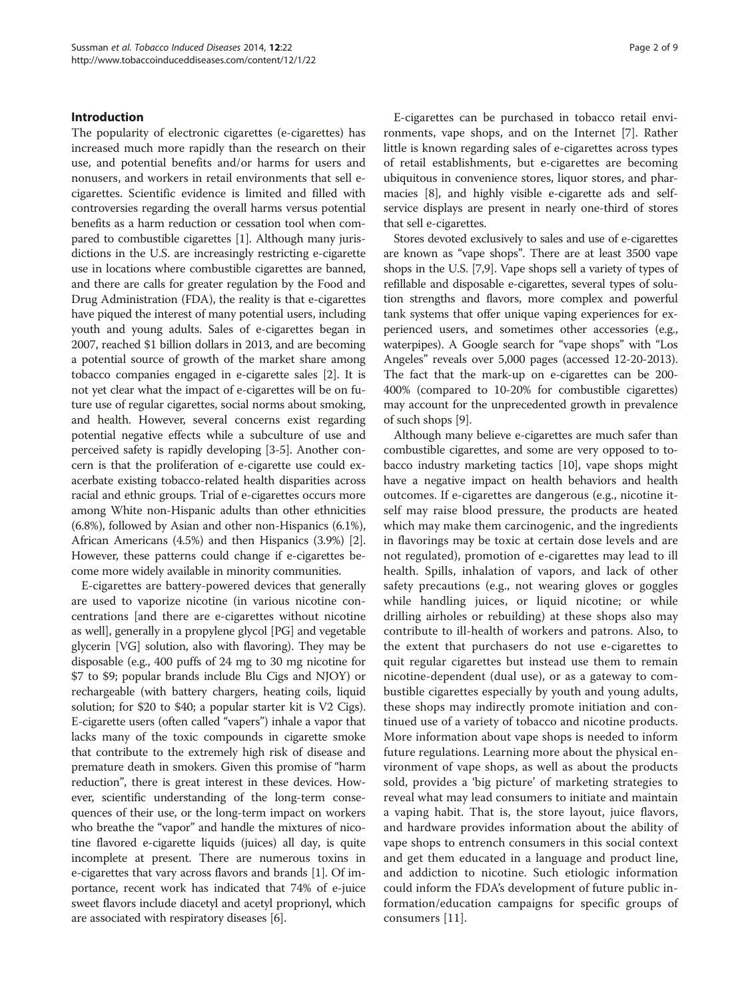# Introduction

The popularity of electronic cigarettes (e-cigarettes) has increased much more rapidly than the research on their use, and potential benefits and/or harms for users and nonusers, and workers in retail environments that sell ecigarettes. Scientific evidence is limited and filled with controversies regarding the overall harms versus potential benefits as a harm reduction or cessation tool when compared to combustible cigarettes [\[1\]](#page-7-0). Although many jurisdictions in the U.S. are increasingly restricting e-cigarette use in locations where combustible cigarettes are banned, and there are calls for greater regulation by the Food and Drug Administration (FDA), the reality is that e-cigarettes have piqued the interest of many potential users, including youth and young adults. Sales of e-cigarettes began in 2007, reached \$1 billion dollars in 2013, and are becoming a potential source of growth of the market share among tobacco companies engaged in e-cigarette sales [[2](#page-7-0)]. It is not yet clear what the impact of e-cigarettes will be on future use of regular cigarettes, social norms about smoking, and health. However, several concerns exist regarding potential negative effects while a subculture of use and perceived safety is rapidly developing [[3-5](#page-7-0)]. Another concern is that the proliferation of e-cigarette use could exacerbate existing tobacco-related health disparities across racial and ethnic groups. Trial of e-cigarettes occurs more among White non-Hispanic adults than other ethnicities (6.8%), followed by Asian and other non-Hispanics (6.1%), African Americans (4.5%) and then Hispanics (3.9%) [[2](#page-7-0)]. However, these patterns could change if e-cigarettes become more widely available in minority communities.

E-cigarettes are battery-powered devices that generally are used to vaporize nicotine (in various nicotine concentrations [and there are e-cigarettes without nicotine as well], generally in a propylene glycol [PG] and vegetable glycerin [VG] solution, also with flavoring). They may be disposable (e.g., 400 puffs of 24 mg to 30 mg nicotine for \$7 to \$9; popular brands include Blu Cigs and NJOY) or rechargeable (with battery chargers, heating coils, liquid solution; for \$20 to \$40; a popular starter kit is V2 Cigs). E-cigarette users (often called "vapers") inhale a vapor that lacks many of the toxic compounds in cigarette smoke that contribute to the extremely high risk of disease and premature death in smokers. Given this promise of "harm reduction", there is great interest in these devices. However, scientific understanding of the long-term consequences of their use, or the long-term impact on workers who breathe the "vapor" and handle the mixtures of nicotine flavored e-cigarette liquids (juices) all day, is quite incomplete at present. There are numerous toxins in e-cigarettes that vary across flavors and brands [\[1](#page-7-0)]. Of importance, recent work has indicated that 74% of e-juice sweet flavors include diacetyl and acetyl proprionyl, which are associated with respiratory diseases [[6](#page-7-0)].

E-cigarettes can be purchased in tobacco retail environments, vape shops, and on the Internet [[7\]](#page-7-0). Rather little is known regarding sales of e-cigarettes across types of retail establishments, but e-cigarettes are becoming ubiquitous in convenience stores, liquor stores, and pharmacies [\[8](#page-7-0)], and highly visible e-cigarette ads and selfservice displays are present in nearly one-third of stores that sell e-cigarettes.

Stores devoted exclusively to sales and use of e-cigarettes are known as "vape shops". There are at least 3500 vape shops in the U.S. [\[7,9](#page-7-0)]. Vape shops sell a variety of types of refillable and disposable e-cigarettes, several types of solution strengths and flavors, more complex and powerful tank systems that offer unique vaping experiences for experienced users, and sometimes other accessories (e.g., waterpipes). A Google search for "vape shops" with "Los Angeles" reveals over 5,000 pages (accessed 12-20-2013). The fact that the mark-up on e-cigarettes can be 200- 400% (compared to 10-20% for combustible cigarettes) may account for the unprecedented growth in prevalence of such shops [[9\]](#page-7-0).

Although many believe e-cigarettes are much safer than combustible cigarettes, and some are very opposed to tobacco industry marketing tactics [[10](#page-7-0)], vape shops might have a negative impact on health behaviors and health outcomes. If e-cigarettes are dangerous (e.g., nicotine itself may raise blood pressure, the products are heated which may make them carcinogenic, and the ingredients in flavorings may be toxic at certain dose levels and are not regulated), promotion of e-cigarettes may lead to ill health. Spills, inhalation of vapors, and lack of other safety precautions (e.g., not wearing gloves or goggles while handling juices, or liquid nicotine; or while drilling airholes or rebuilding) at these shops also may contribute to ill-health of workers and patrons. Also, to the extent that purchasers do not use e-cigarettes to quit regular cigarettes but instead use them to remain nicotine-dependent (dual use), or as a gateway to combustible cigarettes especially by youth and young adults, these shops may indirectly promote initiation and continued use of a variety of tobacco and nicotine products. More information about vape shops is needed to inform future regulations. Learning more about the physical environment of vape shops, as well as about the products sold, provides a 'big picture' of marketing strategies to reveal what may lead consumers to initiate and maintain a vaping habit. That is, the store layout, juice flavors, and hardware provides information about the ability of vape shops to entrench consumers in this social context and get them educated in a language and product line, and addiction to nicotine. Such etiologic information could inform the FDA's development of future public information/education campaigns for specific groups of consumers [[11](#page-7-0)].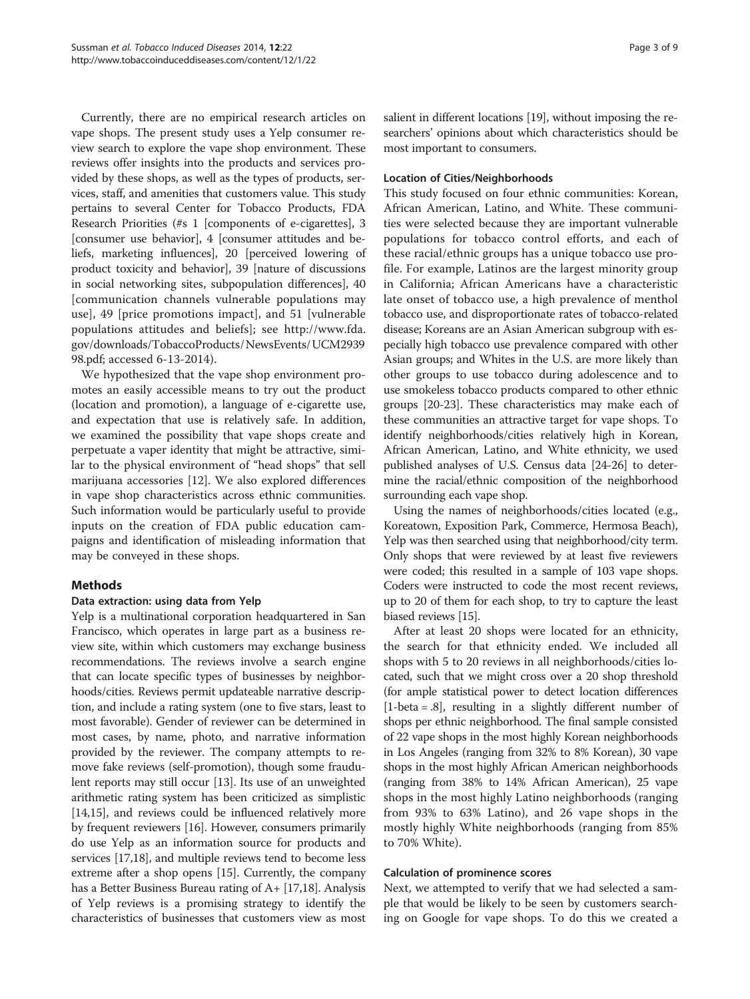Currently, there are no empirical research articles on vape shops. The present study uses a Yelp consumer review search to explore the vape shop environment. These reviews offer insights into the products and services provided by these shops, as well as the types of products, services, staff, and amenities that customers value. This study pertains to several Center for Tobacco Products, FDA Research Priorities (#s 1 [components of e-cigarettes], 3 [consumer use behavior], 4 [consumer attitudes and beliefs, marketing influences], 20 [perceived lowering of product toxicity and behavior], 39 [nature of discussions in social networking sites, subpopulation differences], 40 [communication channels vulnerable populations may use], 49 [price promotions impact], and 51 [vulnerable populations attitudes and beliefs]; see [http://www.fda.](http://www.fda.gov/downloads/TobaccoProducts/NewsEvents/UCM293998.pdf) [gov/downloads/TobaccoProducts/NewsEvents/UCM2939](http://www.fda.gov/downloads/TobaccoProducts/NewsEvents/UCM293998.pdf) [98.pdf](http://www.fda.gov/downloads/TobaccoProducts/NewsEvents/UCM293998.pdf); accessed 6-13-2014).

We hypothesized that the vape shop environment promotes an easily accessible means to try out the product (location and promotion), a language of e-cigarette use, and expectation that use is relatively safe. In addition, we examined the possibility that vape shops create and perpetuate a vaper identity that might be attractive, similar to the physical environment of "head shops" that sell marijuana accessories [\[12](#page-7-0)]. We also explored differences in vape shop characteristics across ethnic communities. Such information would be particularly useful to provide inputs on the creation of FDA public education campaigns and identification of misleading information that may be conveyed in these shops.

# Methods

# Data extraction: using data from Yelp

Yelp is a multinational corporation headquartered in San Francisco, which operates in large part as a business review site, within which customers may exchange business recommendations. The reviews involve a search engine that can locate specific types of businesses by neighborhoods/cities. Reviews permit updateable narrative description, and include a rating system (one to five stars, least to most favorable). Gender of reviewer can be determined in most cases, by name, photo, and narrative information provided by the reviewer. The company attempts to remove fake reviews (self-promotion), though some fraudulent reports may still occur [[13](#page-7-0)]. Its use of an unweighted arithmetic rating system has been criticized as simplistic [[14,15](#page-7-0)], and reviews could be influenced relatively more by frequent reviewers [[16](#page-7-0)]. However, consumers primarily do use Yelp as an information source for products and services [[17,18](#page-7-0)], and multiple reviews tend to become less extreme after a shop opens [\[15\]](#page-7-0). Currently, the company has a Better Business Bureau rating of A+ [\[17,18\]](#page-7-0). Analysis of Yelp reviews is a promising strategy to identify the characteristics of businesses that customers view as most salient in different locations [\[19\]](#page-7-0), without imposing the researchers' opinions about which characteristics should be most important to consumers.

# Location of Cities/Neighborhoods

This study focused on four ethnic communities: Korean, African American, Latino, and White. These communities were selected because they are important vulnerable populations for tobacco control efforts, and each of these racial/ethnic groups has a unique tobacco use profile. For example, Latinos are the largest minority group in California; African Americans have a characteristic late onset of tobacco use, a high prevalence of menthol tobacco use, and disproportionate rates of tobacco-related disease; Koreans are an Asian American subgroup with especially high tobacco use prevalence compared with other Asian groups; and Whites in the U.S. are more likely than other groups to use tobacco during adolescence and to use smokeless tobacco products compared to other ethnic groups [\[20](#page-7-0)-[23](#page-8-0)]. These characteristics may make each of these communities an attractive target for vape shops. To identify neighborhoods/cities relatively high in Korean, African American, Latino, and White ethnicity, we used published analyses of U.S. Census data [[24](#page-8-0)-[26](#page-8-0)] to determine the racial/ethnic composition of the neighborhood surrounding each vape shop.

Using the names of neighborhoods/cities located (e.g., Koreatown, Exposition Park, Commerce, Hermosa Beach), Yelp was then searched using that neighborhood/city term. Only shops that were reviewed by at least five reviewers were coded; this resulted in a sample of 103 vape shops. Coders were instructed to code the most recent reviews, up to 20 of them for each shop, to try to capture the least biased reviews [\[15](#page-7-0)].

After at least 20 shops were located for an ethnicity, the search for that ethnicity ended. We included all shops with 5 to 20 reviews in all neighborhoods/cities located, such that we might cross over a 20 shop threshold (for ample statistical power to detect location differences [1-beta = .8], resulting in a slightly different number of shops per ethnic neighborhood. The final sample consisted of 22 vape shops in the most highly Korean neighborhoods in Los Angeles (ranging from 32% to 8% Korean), 30 vape shops in the most highly African American neighborhoods (ranging from 38% to 14% African American), 25 vape shops in the most highly Latino neighborhoods (ranging from 93% to 63% Latino), and 26 vape shops in the mostly highly White neighborhoods (ranging from 85% to 70% White).

# Calculation of prominence scores

Next, we attempted to verify that we had selected a sample that would be likely to be seen by customers searching on Google for vape shops. To do this we created a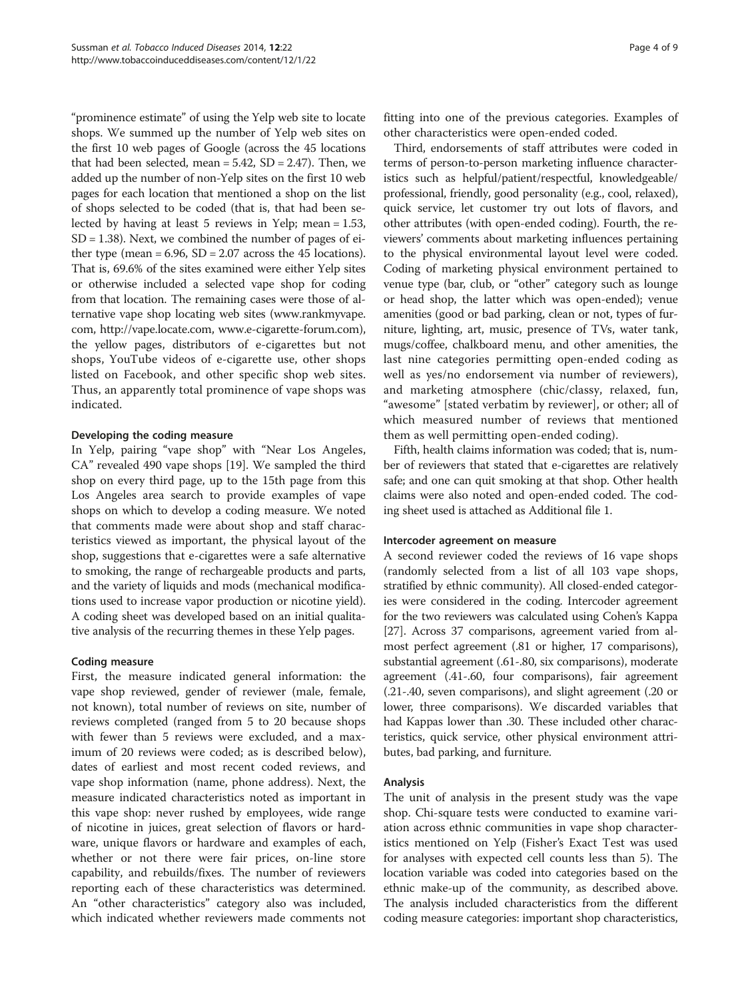"prominence estimate" of using the Yelp web site to locate shops. We summed up the number of Yelp web sites on the first 10 web pages of Google (across the 45 locations that had been selected, mean =  $5.42$ , SD =  $2.47$ ). Then, we added up the number of non-Yelp sites on the first 10 web pages for each location that mentioned a shop on the list of shops selected to be coded (that is, that had been selected by having at least 5 reviews in Yelp; mean = 1.53,  $SD = 1.38$ ). Next, we combined the number of pages of either type (mean  $= 6.96$ , SD  $= 2.07$  across the 45 locations). That is, 69.6% of the sites examined were either Yelp sites or otherwise included a selected vape shop for coding from that location. The remaining cases were those of alternative vape shop locating web sites [\(www.rankmyvape.](http://www.rankmyvape.com) [com](http://www.rankmyvape.com),<http://vape.locate.com>, [www.e-cigarette-forum.com](http://www.e-cigarette-forum.com)), the yellow pages, distributors of e-cigarettes but not shops, YouTube videos of e-cigarette use, other shops listed on Facebook, and other specific shop web sites. Thus, an apparently total prominence of vape shops was indicated.

# Developing the coding measure

In Yelp, pairing "vape shop" with "Near Los Angeles, CA" revealed 490 vape shops [\[19](#page-7-0)]. We sampled the third shop on every third page, up to the 15th page from this Los Angeles area search to provide examples of vape shops on which to develop a coding measure. We noted that comments made were about shop and staff characteristics viewed as important, the physical layout of the shop, suggestions that e-cigarettes were a safe alternative to smoking, the range of rechargeable products and parts, and the variety of liquids and mods (mechanical modifications used to increase vapor production or nicotine yield). A coding sheet was developed based on an initial qualitative analysis of the recurring themes in these Yelp pages.

# Coding measure

First, the measure indicated general information: the vape shop reviewed, gender of reviewer (male, female, not known), total number of reviews on site, number of reviews completed (ranged from 5 to 20 because shops with fewer than 5 reviews were excluded, and a maximum of 20 reviews were coded; as is described below), dates of earliest and most recent coded reviews, and vape shop information (name, phone address). Next, the measure indicated characteristics noted as important in this vape shop: never rushed by employees, wide range of nicotine in juices, great selection of flavors or hardware, unique flavors or hardware and examples of each, whether or not there were fair prices, on-line store capability, and rebuilds/fixes. The number of reviewers reporting each of these characteristics was determined. An "other characteristics" category also was included, which indicated whether reviewers made comments not fitting into one of the previous categories. Examples of other characteristics were open-ended coded.

Third, endorsements of staff attributes were coded in terms of person-to-person marketing influence characteristics such as helpful/patient/respectful, knowledgeable/ professional, friendly, good personality (e.g., cool, relaxed), quick service, let customer try out lots of flavors, and other attributes (with open-ended coding). Fourth, the reviewers' comments about marketing influences pertaining to the physical environmental layout level were coded. Coding of marketing physical environment pertained to venue type (bar, club, or "other" category such as lounge or head shop, the latter which was open-ended); venue amenities (good or bad parking, clean or not, types of furniture, lighting, art, music, presence of TVs, water tank, mugs/coffee, chalkboard menu, and other amenities, the last nine categories permitting open-ended coding as well as yes/no endorsement via number of reviewers), and marketing atmosphere (chic/classy, relaxed, fun, "awesome" [stated verbatim by reviewer], or other; all of which measured number of reviews that mentioned them as well permitting open-ended coding).

Fifth, health claims information was coded; that is, number of reviewers that stated that e-cigarettes are relatively safe; and one can quit smoking at that shop. Other health claims were also noted and open-ended coded. The coding sheet used is attached as Additional file [1](#page-7-0).

# Intercoder agreement on measure

A second reviewer coded the reviews of 16 vape shops (randomly selected from a list of all 103 vape shops, stratified by ethnic community). All closed-ended categories were considered in the coding. Intercoder agreement for the two reviewers was calculated using Cohen's Kappa [[27](#page-8-0)]. Across 37 comparisons, agreement varied from almost perfect agreement (.81 or higher, 17 comparisons), substantial agreement (.61-.80, six comparisons), moderate agreement (.41-.60, four comparisons), fair agreement (.21-.40, seven comparisons), and slight agreement (.20 or lower, three comparisons). We discarded variables that had Kappas lower than .30. These included other characteristics, quick service, other physical environment attributes, bad parking, and furniture.

# Analysis

The unit of analysis in the present study was the vape shop. Chi-square tests were conducted to examine variation across ethnic communities in vape shop characteristics mentioned on Yelp (Fisher's Exact Test was used for analyses with expected cell counts less than 5). The location variable was coded into categories based on the ethnic make-up of the community, as described above. The analysis included characteristics from the different coding measure categories: important shop characteristics,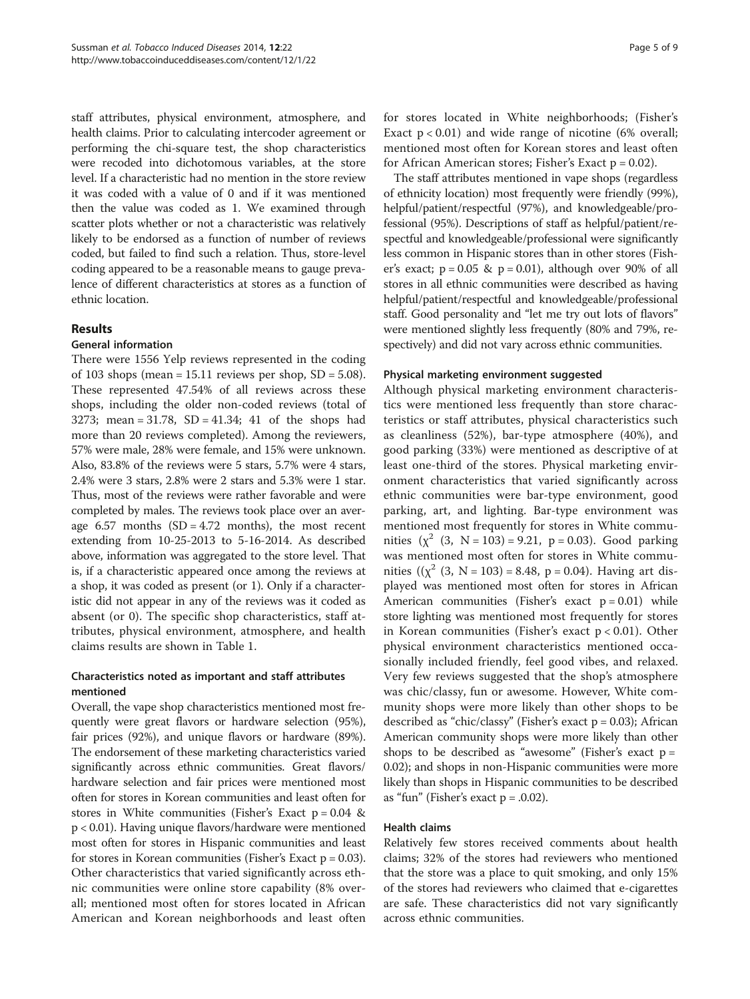staff attributes, physical environment, atmosphere, and health claims. Prior to calculating intercoder agreement or performing the chi-square test, the shop characteristics were recoded into dichotomous variables, at the store level. If a characteristic had no mention in the store review it was coded with a value of 0 and if it was mentioned then the value was coded as 1. We examined through scatter plots whether or not a characteristic was relatively likely to be endorsed as a function of number of reviews coded, but failed to find such a relation. Thus, store-level coding appeared to be a reasonable means to gauge prevalence of different characteristics at stores as a function of ethnic location.

# Results

# General information

There were 1556 Yelp reviews represented in the coding of 103 shops (mean =  $15.11$  reviews per shop, SD =  $5.08$ ). These represented 47.54% of all reviews across these shops, including the older non-coded reviews (total of 3273; mean = 31.78, SD = 41.34; 41 of the shops had more than 20 reviews completed). Among the reviewers, 57% were male, 28% were female, and 15% were unknown. Also, 83.8% of the reviews were 5 stars, 5.7% were 4 stars, 2.4% were 3 stars, 2.8% were 2 stars and 5.3% were 1 star. Thus, most of the reviews were rather favorable and were completed by males. The reviews took place over an average  $6.57$  months  $(SD = 4.72$  months), the most recent extending from 10-25-2013 to 5-16-2014. As described above, information was aggregated to the store level. That is, if a characteristic appeared once among the reviews at a shop, it was coded as present (or 1). Only if a characteristic did not appear in any of the reviews was it coded as absent (or 0). The specific shop characteristics, staff attributes, physical environment, atmosphere, and health claims results are shown in Table [1.](#page-5-0)

# Characteristics noted as important and staff attributes mentioned

Overall, the vape shop characteristics mentioned most frequently were great flavors or hardware selection (95%), fair prices (92%), and unique flavors or hardware (89%). The endorsement of these marketing characteristics varied significantly across ethnic communities. Great flavors/ hardware selection and fair prices were mentioned most often for stores in Korean communities and least often for stores in White communities (Fisher's Exact  $p = 0.04$  & p < 0.01). Having unique flavors/hardware were mentioned most often for stores in Hispanic communities and least for stores in Korean communities (Fisher's Exact  $p = 0.03$ ). Other characteristics that varied significantly across ethnic communities were online store capability (8% overall; mentioned most often for stores located in African American and Korean neighborhoods and least often for stores located in White neighborhoods; (Fisher's Exact p < 0.01) and wide range of nicotine (6% overall; mentioned most often for Korean stores and least often for African American stores; Fisher's Exact  $p = 0.02$ ).

The staff attributes mentioned in vape shops (regardless of ethnicity location) most frequently were friendly (99%), helpful/patient/respectful (97%), and knowledgeable/professional (95%). Descriptions of staff as helpful/patient/respectful and knowledgeable/professional were significantly less common in Hispanic stores than in other stores (Fisher's exact;  $p = 0.05 \& p = 0.01$ , although over 90% of all stores in all ethnic communities were described as having helpful/patient/respectful and knowledgeable/professional staff. Good personality and "let me try out lots of flavors" were mentioned slightly less frequently (80% and 79%, respectively) and did not vary across ethnic communities.

#### Physical marketing environment suggested

Although physical marketing environment characteristics were mentioned less frequently than store characteristics or staff attributes, physical characteristics such as cleanliness (52%), bar-type atmosphere (40%), and good parking (33%) were mentioned as descriptive of at least one-third of the stores. Physical marketing environment characteristics that varied significantly across ethnic communities were bar-type environment, good parking, art, and lighting. Bar-type environment was mentioned most frequently for stores in White communities  $(\chi^2$  (3, N = 103) = 9.21, p = 0.03). Good parking was mentioned most often for stores in White communities  $((\chi^2)(3, N = 103) = 8.48, p = 0.04)$ . Having art displayed was mentioned most often for stores in African American communities (Fisher's exact  $p = 0.01$ ) while store lighting was mentioned most frequently for stores in Korean communities (Fisher's exact  $p < 0.01$ ). Other physical environment characteristics mentioned occasionally included friendly, feel good vibes, and relaxed. Very few reviews suggested that the shop's atmosphere was chic/classy, fun or awesome. However, White community shops were more likely than other shops to be described as "chic/classy" (Fisher's exact  $p = 0.03$ ); African American community shops were more likely than other shops to be described as "awesome" (Fisher's exact  $p =$ 0.02); and shops in non-Hispanic communities were more likely than shops in Hispanic communities to be described as "fun" (Fisher's exact  $p = .0.02$ ).

### Health claims

Relatively few stores received comments about health claims; 32% of the stores had reviewers who mentioned that the store was a place to quit smoking, and only 15% of the stores had reviewers who claimed that e-cigarettes are safe. These characteristics did not vary significantly across ethnic communities.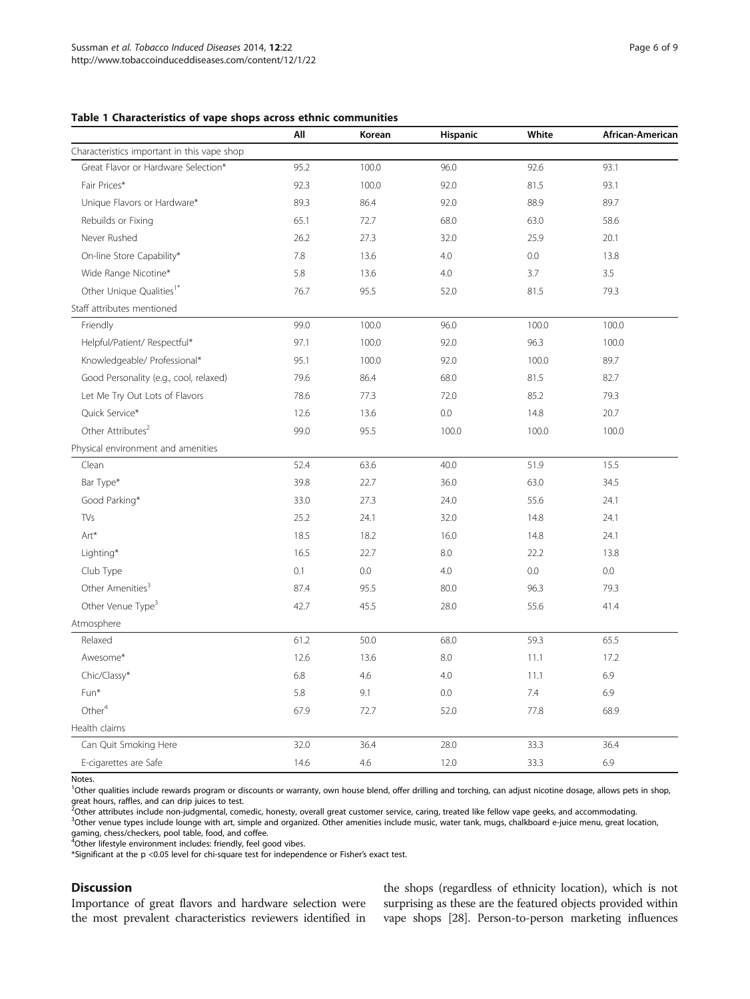# <span id="page-5-0"></span>Table 1 Characteristics of vape shops across ethnic communities

|                                             | All  | Korean | Hispanic | White | African-American |
|---------------------------------------------|------|--------|----------|-------|------------------|
| Characteristics important in this vape shop |      |        |          |       |                  |
| Great Flavor or Hardware Selection*         | 95.2 | 100.0  | 96.0     | 92.6  | 93.1             |
| Fair Prices*                                | 92.3 | 100.0  | 92.0     | 81.5  | 93.1             |
| Unique Flavors or Hardware*                 | 89.3 | 86.4   | 92.0     | 88.9  | 89.7             |
| Rebuilds or Fixing                          | 65.1 | 72.7   | 68.0     | 63.0  | 58.6             |
| Never Rushed                                | 26.2 | 27.3   | 32.0     | 25.9  | 20.1             |
| On-line Store Capability*                   | 7.8  | 13.6   | 4.0      | 0.0   | 13.8             |
| Wide Range Nicotine*                        | 5.8  | 13.6   | 4.0      | 3.7   | 3.5              |
| Other Unique Qualities <sup>1*</sup>        | 76.7 | 95.5   | 52.0     | 81.5  | 79.3             |
| Staff attributes mentioned                  |      |        |          |       |                  |
| Friendly                                    | 99.0 | 100.0  | 96.0     | 100.0 | 100.0            |
| Helpful/Patient/ Respectful*                | 97.1 | 100.0  | 92.0     | 96.3  | 100.0            |
| Knowledgeable/ Professional*                | 95.1 | 100.0  | 92.0     | 100.0 | 89.7             |
| Good Personality (e.g., cool, relaxed)      | 79.6 | 86.4   | 68.0     | 81.5  | 82.7             |
| Let Me Try Out Lots of Flavors              | 78.6 | 77.3   | 72.0     | 85.2  | 79.3             |
| Quick Service*                              | 12.6 | 13.6   | 0.0      | 14.8  | 20.7             |
| Other Attributes <sup>2</sup>               | 99.0 | 95.5   | 100.0    | 100.0 | 100.0            |
| Physical environment and amenities          |      |        |          |       |                  |
| Clean                                       | 52.4 | 63.6   | 40.0     | 51.9  | 15.5             |
| Bar Type*                                   | 39.8 | 22.7   | 36.0     | 63.0  | 34.5             |
| Good Parking*                               | 33.0 | 27.3   | 24.0     | 55.6  | 24.1             |
| TVs                                         | 25.2 | 24.1   | 32.0     | 14.8  | 24.1             |
| Art*                                        | 18.5 | 18.2   | 16.0     | 14.8  | 24.1             |
| Lighting*                                   | 16.5 | 22.7   | 8.0      | 22.2  | 13.8             |
| Club Type                                   | 0.1  | 0.0    | 4.0      | 0.0   | $0.0\,$          |
| Other Amenities <sup>3</sup>                | 87.4 | 95.5   | 80.0     | 96.3  | 79.3             |
| Other Venue Type <sup>3</sup>               | 42.7 | 45.5   | 28.0     | 55.6  | 41.4             |
| Atmosphere                                  |      |        |          |       |                  |
| Relaxed                                     | 61.2 | 50.0   | 68.0     | 59.3  | 65.5             |
| Awesome*                                    | 12.6 | 13.6   | 8.0      | 11.1  | 17.2             |
| Chic/Classy*                                | 6.8  | 4.6    | 4.0      | 11.1  | 6.9              |
| Fun*                                        | 5.8  | 9.1    | 0.0      | 7.4   | 6.9              |
| Other <sup>4</sup>                          | 67.9 | 72.7   | 52.0     | 77.8  | 68.9             |
| Health claims                               |      |        |          |       |                  |
| Can Quit Smoking Here                       | 32.0 | 36.4   | 28.0     | 33.3  | 36.4             |
| E-cigarettes are Safe                       | 14.6 | 4.6    | 12.0     | 33.3  | 6.9              |

<sup>1</sup>Other qualities include rewards program or discounts or warranty, own house blend, offer drilling and torching, can adjust nicotine dosage, allows pets in shop,

great hours, raffles, and can drip juices to test.<br><sup>2</sup>Other attributes include non-judgmental, comedic, honesty, overall great customer service, caring, treated like fellow vape geeks, and accommodating.<br><sup>3</sup>Other venue tup <sup>3</sup>Other venue types include lounge with art, simple and organized. Other amenities include music, water tank, mugs, chalkboard e-juice menu, great location,

gaming, chess/checkers, pool table, food, and coffee.<br><sup>4</sup>Other lifestyle environment includes: friendly, feel good vibes.

\*Significant at the p <0.05 level for chi-square test for independence or Fisher's exact test.

# **Discussion**

Importance of great flavors and hardware selection were the most prevalent characteristics reviewers identified in

the shops (regardless of ethnicity location), which is not surprising as these are the featured objects provided within vape shops [\[28\]](#page-8-0). Person-to-person marketing influences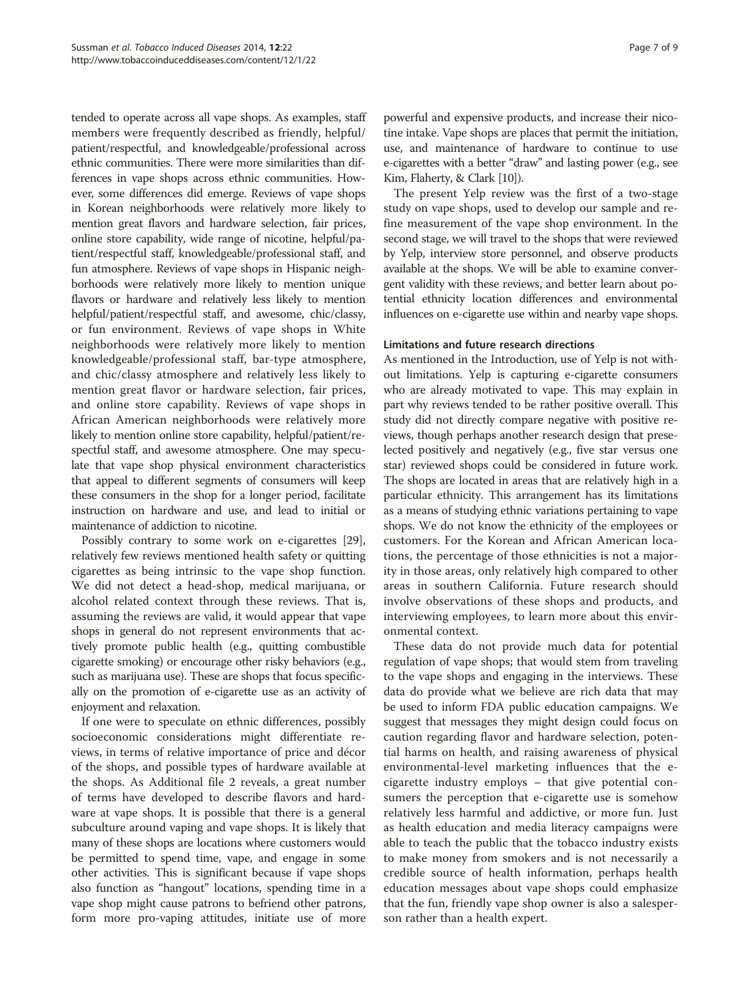tended to operate across all vape shops. As examples, staff members were frequently described as friendly, helpful/ patient/respectful, and knowledgeable/professional across ethnic communities. There were more similarities than differences in vape shops across ethnic communities. However, some differences did emerge. Reviews of vape shops in Korean neighborhoods were relatively more likely to mention great flavors and hardware selection, fair prices, online store capability, wide range of nicotine, helpful/patient/respectful staff, knowledgeable/professional staff, and fun atmosphere. Reviews of vape shops in Hispanic neighborhoods were relatively more likely to mention unique flavors or hardware and relatively less likely to mention helpful/patient/respectful staff, and awesome, chic/classy, or fun environment. Reviews of vape shops in White neighborhoods were relatively more likely to mention knowledgeable/professional staff, bar-type atmosphere, and chic/classy atmosphere and relatively less likely to mention great flavor or hardware selection, fair prices, and online store capability. Reviews of vape shops in African American neighborhoods were relatively more likely to mention online store capability, helpful/patient/respectful staff, and awesome atmosphere. One may speculate that vape shop physical environment characteristics that appeal to different segments of consumers will keep these consumers in the shop for a longer period, facilitate instruction on hardware and use, and lead to initial or maintenance of addiction to nicotine.

Possibly contrary to some work on e-cigarettes [\[29](#page-8-0)], relatively few reviews mentioned health safety or quitting cigarettes as being intrinsic to the vape shop function. We did not detect a head-shop, medical marijuana, or alcohol related context through these reviews. That is, assuming the reviews are valid, it would appear that vape shops in general do not represent environments that actively promote public health (e.g., quitting combustible cigarette smoking) or encourage other risky behaviors (e.g., such as marijuana use). These are shops that focus specifically on the promotion of e-cigarette use as an activity of enjoyment and relaxation.

If one were to speculate on ethnic differences, possibly socioeconomic considerations might differentiate reviews, in terms of relative importance of price and décor of the shops, and possible types of hardware available at the shops. As Additional file [2](#page-7-0) reveals, a great number of terms have developed to describe flavors and hardware at vape shops. It is possible that there is a general subculture around vaping and vape shops. It is likely that many of these shops are locations where customers would be permitted to spend time, vape, and engage in some other activities. This is significant because if vape shops also function as "hangout" locations, spending time in a vape shop might cause patrons to befriend other patrons, form more pro-vaping attitudes, initiate use of more powerful and expensive products, and increase their nicotine intake. Vape shops are places that permit the initiation, use, and maintenance of hardware to continue to use e-cigarettes with a better "draw" and lasting power (e.g., see Kim, Flaherty, & Clark [[10](#page-7-0)]).

The present Yelp review was the first of a two-stage study on vape shops, used to develop our sample and refine measurement of the vape shop environment. In the second stage, we will travel to the shops that were reviewed by Yelp, interview store personnel, and observe products available at the shops. We will be able to examine convergent validity with these reviews, and better learn about potential ethnicity location differences and environmental influences on e-cigarette use within and nearby vape shops.

#### Limitations and future research directions

As mentioned in the Introduction, use of Yelp is not without limitations. Yelp is capturing e-cigarette consumers who are already motivated to vape. This may explain in part why reviews tended to be rather positive overall. This study did not directly compare negative with positive reviews, though perhaps another research design that preselected positively and negatively (e.g., five star versus one star) reviewed shops could be considered in future work. The shops are located in areas that are relatively high in a particular ethnicity. This arrangement has its limitations as a means of studying ethnic variations pertaining to vape shops. We do not know the ethnicity of the employees or customers. For the Korean and African American locations, the percentage of those ethnicities is not a majority in those areas, only relatively high compared to other areas in southern California. Future research should involve observations of these shops and products, and interviewing employees, to learn more about this environmental context.

These data do not provide much data for potential regulation of vape shops; that would stem from traveling to the vape shops and engaging in the interviews. These data do provide what we believe are rich data that may be used to inform FDA public education campaigns. We suggest that messages they might design could focus on caution regarding flavor and hardware selection, potential harms on health, and raising awareness of physical environmental-level marketing influences that the ecigarette industry employs – that give potential consumers the perception that e-cigarette use is somehow relatively less harmful and addictive, or more fun. Just as health education and media literacy campaigns were able to teach the public that the tobacco industry exists to make money from smokers and is not necessarily a credible source of health information, perhaps health education messages about vape shops could emphasize that the fun, friendly vape shop owner is also a salesperson rather than a health expert.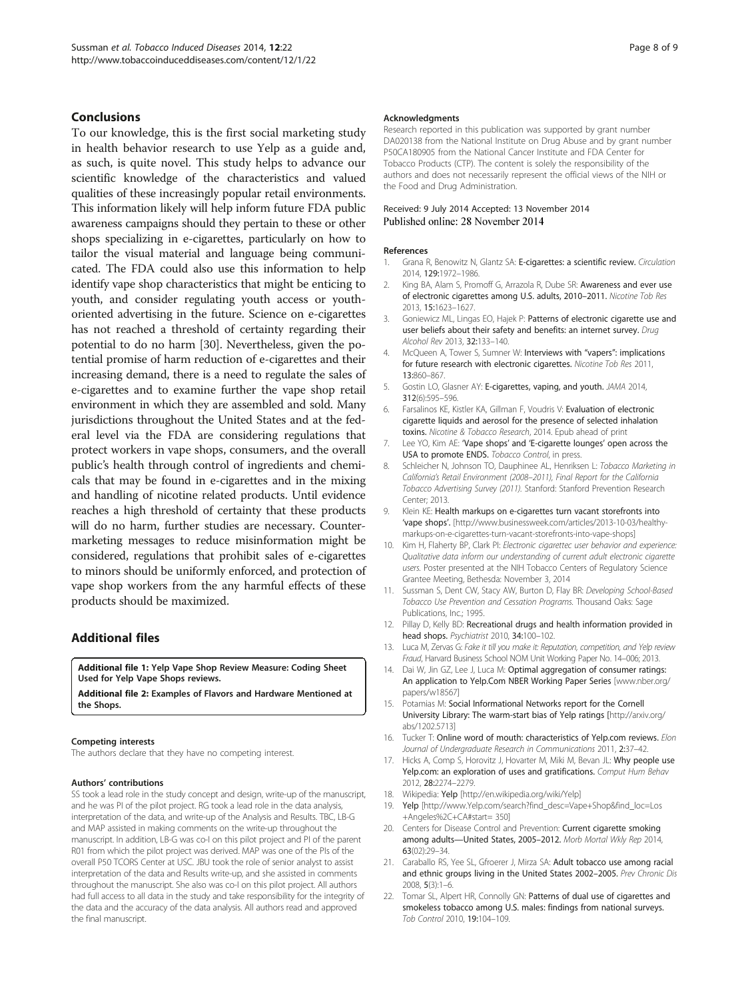# <span id="page-7-0"></span>Conclusions

To our knowledge, this is the first social marketing study in health behavior research to use Yelp as a guide and, as such, is quite novel. This study helps to advance our scientific knowledge of the characteristics and valued qualities of these increasingly popular retail environments. This information likely will help inform future FDA public awareness campaigns should they pertain to these or other shops specializing in e-cigarettes, particularly on how to tailor the visual material and language being communicated. The FDA could also use this information to help identify vape shop characteristics that might be enticing to youth, and consider regulating youth access or youthoriented advertising in the future. Science on e-cigarettes has not reached a threshold of certainty regarding their potential to do no harm [[30](#page-8-0)]. Nevertheless, given the potential promise of harm reduction of e-cigarettes and their increasing demand, there is a need to regulate the sales of e-cigarettes and to examine further the vape shop retail environment in which they are assembled and sold. Many jurisdictions throughout the United States and at the federal level via the FDA are considering regulations that protect workers in vape shops, consumers, and the overall public's health through control of ingredients and chemicals that may be found in e-cigarettes and in the mixing and handling of nicotine related products. Until evidence reaches a high threshold of certainty that these products will do no harm, further studies are necessary. Countermarketing messages to reduce misinformation might be considered, regulations that prohibit sales of e-cigarettes to minors should be uniformly enforced, and protection of vape shop workers from the any harmful effects of these products should be maximized.

# Additional files

[Additional file 1:](http://www.tobaccoinduceddiseases.com/content/supplementary/s12971-014-0022-7-s1.pdf) Yelp Vape Shop Review Measure: Coding Sheet Used for Yelp Vape Shops reviews.

[Additional file 2:](http://www.tobaccoinduceddiseases.com/content/supplementary/s12971-014-0022-7-s2.pdf) Examples of Flavors and Hardware Mentioned at the Shops.

#### Competing interests

The authors declare that they have no competing interest.

#### Authors' contributions

SS took a lead role in the study concept and design, write-up of the manuscript, and he was PI of the pilot project. RG took a lead role in the data analysis, interpretation of the data, and write-up of the Analysis and Results. TBC, LB-G and MAP assisted in making comments on the write-up throughout the manuscript. In addition, LB-G was co-I on this pilot project and PI of the parent R01 from which the pilot project was derived. MAP was one of the PIs of the overall P50 TCORS Center at USC. JBU took the role of senior analyst to assist interpretation of the data and Results write-up, and she assisted in comments throughout the manuscript. She also was co-I on this pilot project. All authors had full access to all data in the study and take responsibility for the integrity of the data and the accuracy of the data analysis. All authors read and approved the final manuscript.

#### Acknowledgments

Research reported in this publication was supported by grant number DA020138 from the National Institute on Drug Abuse and by grant number P50CA180905 from the National Cancer Institute and FDA Center for Tobacco Products (CTP). The content is solely the responsibility of the authors and does not necessarily represent the official views of the NIH or the Food and Drug Administration.

#### Received: 9 July 2014 Accepted: 13 November 2014 Published online: 28 November 2014

#### References

- Grana R, Benowitz N, Glantz SA: E-cigarettes: a scientific review. Circulation 2014, 129:1972–1986.
- 2. King BA, Alam S, Promoff G, Arrazola R, Dube SR: Awareness and ever use of electronic cigarettes among U.S. adults, 2010–2011. Nicotine Tob Res 2013, 15:1623–1627.
- 3. Goniewicz ML, Lingas EO, Hajek P: Patterns of electronic cigarette use and user beliefs about their safety and benefits: an internet survey. Drug Alcohol Rev 2013, 32:133–140.
- 4. McQueen A, Tower S, Sumner W: Interviews with "vapers": implications for future research with electronic cigarettes. Nicotine Tob Res 2011, 13:860–867.
- 5. Gostin LO, Glasner AY: E-cigarettes, vaping, and youth. JAMA 2014, 312(6):595–596.
- 6. Farsalinos KE, Kistler KA, Gillman F, Voudris V: Evaluation of electronic cigarette liquids and aerosol for the presence of selected inhalation toxins. Nicotine & Tobacco Research, 2014. Epub ahead of print
- 7. Lee YO, Kim AE: 'Vape shops' and 'E-cigarette lounges' open across the USA to promote ENDS. Tobacco Control, in press.
- Schleicher N, Johnson TO, Dauphinee AL, Henriksen L: Tobacco Marketing in California's Retail Environment (2008–2011), Final Report for the California Tobacco Advertising Survey (2011). Stanford: Stanford Prevention Research Center; 2013.
- 9. Klein KE: Health markups on e-cigarettes turn vacant storefronts into 'vape shops'. [[http://www.businessweek.com/articles/2013-10-03/healthy](http://www.businessweek.com/articles/2013-10-03/healthy-markups-on-e-cigarettes-turn-vacant-storefronts-into-vape-shops)[markups-on-e-cigarettes-turn-vacant-storefronts-into-vape-shops](http://www.businessweek.com/articles/2013-10-03/healthy-markups-on-e-cigarettes-turn-vacant-storefronts-into-vape-shops)]
- 10. Kim H, Flaherty BP, Clark PI: Electronic cigarettec user behavior and experience: Qualitative data inform our understanding of current adult electronic cigarette users. Poster presented at the NIH Tobacco Centers of Regulatory Science Grantee Meeting, Bethesda: November 3, 2014
- 11. Sussman S, Dent CW, Stacy AW, Burton D, Flay BR: Developing School-Based Tobacco Use Prevention and Cessation Programs. Thousand Oaks: Sage Publications, Inc.; 1995.
- 12. Pillay D, Kelly BD: Recreational drugs and health information provided in head shops. Psychiatrist 2010, 34:100–102.
- 13. Luca M, Zervas G: Fake it till you make it: Reputation, competition, and Yelp review Fraud, Harvard Business School NOM Unit Working Paper No. 14-006; 2013.
- 14. Dai W, Jin GZ, Lee J, Luca M: Optimal aggregation of consumer ratings: An application to Yelp.Com NBER Working Paper Series [[www.nber.org/](http://www.nber.org/papers/w18567) [papers/w18567](http://www.nber.org/papers/w18567)]
- 15. Potamias M: Social Informational Networks report for the Cornell University Library: The warm-start bias of Yelp ratings [[http://arxiv.org/](http://arxiv.org/abs/1202.5713) [abs/1202.5713](http://arxiv.org/abs/1202.5713)]
- 16. Tucker T: Online word of mouth: characteristics of Yelp.com reviews. Elon Journal of Undergraduate Research in Communications 2011, 2:37–42.
- 17. Hicks A, Comp S, Horovitz J, Hovarter M, Miki M, Bevan JL: Why people use Yelp.com: an exploration of uses and gratifications. Comput Hum Behav 2012, 28:2274–2279.
- 18. Wikipedia: Yelp [[http://en.wikipedia.org/wiki/Yelp\]](http://en.wikipedia.org/wiki/Yelp)
- 19. Yelp [[http://www.Yelp.com/search?find\\_desc=Vape+Shop&find\\_loc=Los](http://www.yelp.com/search?find_desc=Vape+Shop&find_loc=Los+Angeles%2C+CA#start) [+Angeles%2C+CA#start](http://www.yelp.com/search?find_desc=Vape+Shop&find_loc=Los+Angeles%2C+CA#start)= 350]
- 20. Centers for Disease Control and Prevention: Current cigarette smoking among adults—United States, 2005–2012. Morb Mortal Wkly Rep 2014, 63(02):29–34.
- 21. Caraballo RS, Yee SL, Gfroerer J, Mirza SA: Adult tobacco use among racial and ethnic groups living in the United States 2002–2005. Prev Chronic Dis 2008, 5(3):1–6.
- 22. Tomar SL, Alpert HR, Connolly GN: Patterns of dual use of cigarettes and smokeless tobacco among U.S. males: findings from national surveys. Tob Control 2010, 19:104–109.